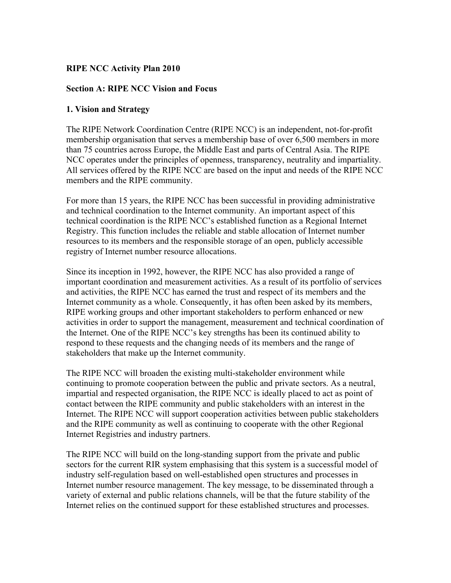#### **RIPE NCC Activity Plan 2010**

#### **Section A: RIPE NCC Vision and Focus**

#### **1. Vision and Strategy**

The RIPE Network Coordination Centre (RIPE NCC) is an independent, not-for-profit membership organisation that serves a membership base of over 6,500 members in more than 75 countries across Europe, the Middle East and parts of Central Asia. The RIPE NCC operates under the principles of openness, transparency, neutrality and impartiality. All services offered by the RIPE NCC are based on the input and needs of the RIPE NCC members and the RIPE community.

For more than 15 years, the RIPE NCC has been successful in providing administrative and technical coordination to the Internet community. An important aspect of this technical coordination is the RIPE NCC's established function as a Regional Internet Registry. This function includes the reliable and stable allocation of Internet number resources to its members and the responsible storage of an open, publicly accessible registry of Internet number resource allocations.

Since its inception in 1992, however, the RIPE NCC has also provided a range of important coordination and measurement activities. As a result of its portfolio of services and activities, the RIPE NCC has earned the trust and respect of its members and the Internet community as a whole. Consequently, it has often been asked by its members, RIPE working groups and other important stakeholders to perform enhanced or new activities in order to support the management, measurement and technical coordination of the Internet. One of the RIPE NCC's key strengths has been its continued ability to respond to these requests and the changing needs of its members and the range of stakeholders that make up the Internet community.

The RIPE NCC will broaden the existing multi-stakeholder environment while continuing to promote cooperation between the public and private sectors. As a neutral, impartial and respected organisation, the RIPE NCC is ideally placed to act as point of contact between the RIPE community and public stakeholders with an interest in the Internet. The RIPE NCC will support cooperation activities between public stakeholders and the RIPE community as well as continuing to cooperate with the other Regional Internet Registries and industry partners.

The RIPE NCC will build on the long-standing support from the private and public sectors for the current RIR system emphasising that this system is a successful model of industry self-regulation based on well-established open structures and processes in Internet number resource management. The key message, to be disseminated through a variety of external and public relations channels, will be that the future stability of the Internet relies on the continued support for these established structures and processes.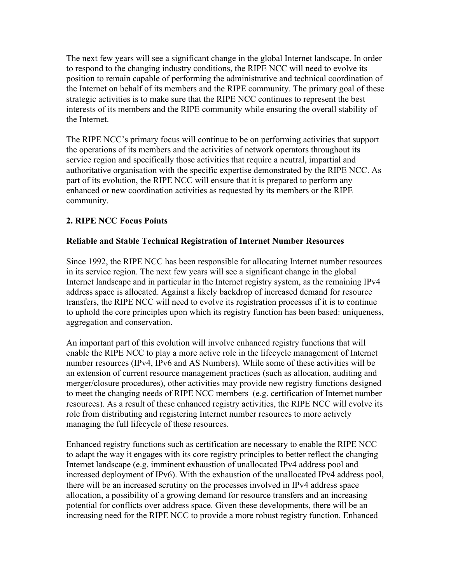The next few years will see a significant change in the global Internet landscape. In order to respond to the changing industry conditions, the RIPE NCC will need to evolve its position to remain capable of performing the administrative and technical coordination of the Internet on behalf of its members and the RIPE community. The primary goal of these strategic activities is to make sure that the RIPE NCC continues to represent the best interests of its members and the RIPE community while ensuring the overall stability of the Internet.

The RIPE NCC's primary focus will continue to be on performing activities that support the operations of its members and the activities of network operators throughout its service region and specifically those activities that require a neutral, impartial and authoritative organisation with the specific expertise demonstrated by the RIPE NCC. As part of its evolution, the RIPE NCC will ensure that it is prepared to perform any enhanced or new coordination activities as requested by its members or the RIPE community.

### **2. RIPE NCC Focus Points**

### **Reliable and Stable Technical Registration of Internet Number Resources**

Since 1992, the RIPE NCC has been responsible for allocating Internet number resources in its service region. The next few years will see a significant change in the global Internet landscape and in particular in the Internet registry system, as the remaining IPv4 address space is allocated. Against a likely backdrop of increased demand for resource transfers, the RIPE NCC will need to evolve its registration processes if it is to continue to uphold the core principles upon which its registry function has been based: uniqueness, aggregation and conservation.

An important part of this evolution will involve enhanced registry functions that will enable the RIPE NCC to play a more active role in the lifecycle management of Internet number resources (IPv4, IPv6 and AS Numbers). While some of these activities will be an extension of current resource management practices (such as allocation, auditing and merger/closure procedures), other activities may provide new registry functions designed to meet the changing needs of RIPE NCC members (e.g. certification of Internet number resources). As a result of these enhanced registry activities, the RIPE NCC will evolve its role from distributing and registering Internet number resources to more actively managing the full lifecycle of these resources.

Enhanced registry functions such as certification are necessary to enable the RIPE NCC to adapt the way it engages with its core registry principles to better reflect the changing Internet landscape (e.g. imminent exhaustion of unallocated IPv4 address pool and increased deployment of IPv6). With the exhaustion of the unallocated IPv4 address pool, there will be an increased scrutiny on the processes involved in IPv4 address space allocation, a possibility of a growing demand for resource transfers and an increasing potential for conflicts over address space. Given these developments, there will be an increasing need for the RIPE NCC to provide a more robust registry function. Enhanced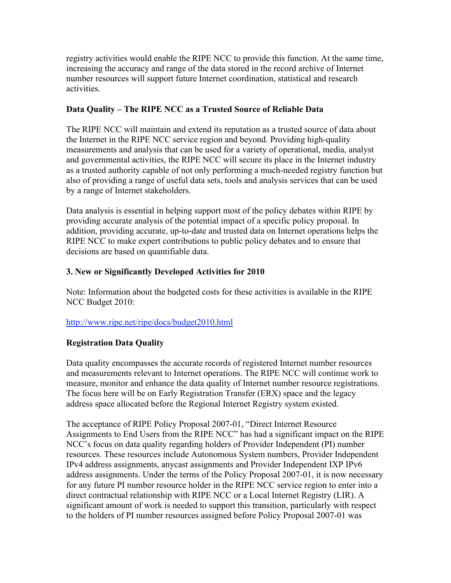registry activities would enable the RIPE NCC to provide this function. At the same time, increasing the accuracy and range of the data stored in the record archive of Internet number resources will support future Internet coordination, statistical and research activities.

### **Data Quality – The RIPE NCC as a Trusted Source of Reliable Data**

The RIPE NCC will maintain and extend its reputation as a trusted source of data about the Internet in the RIPE NCC service region and beyond. Providing high-quality measurements and analysis that can be used for a variety of operational, media, analyst and governmental activities, the RIPE NCC will secure its place in the Internet industry as a trusted authority capable of not only performing a much-needed registry function but also of providing a range of useful data sets, tools and analysis services that can be used by a range of Internet stakeholders.

Data analysis is essential in helping support most of the policy debates within RIPE by providing accurate analysis of the potential impact of a specific policy proposal. In addition, providing accurate, up-to-date and trusted data on Internet operations helps the RIPE NCC to make expert contributions to public policy debates and to ensure that decisions are based on quantifiable data.

### **3. New or Significantly Developed Activities for 2010**

Note: Information about the budgeted costs for these activities is available in the RIPE NCC Budget 2010:

### http://www.ripe.net/ripe/docs/budget2010.html

### **Registration Data Quality**

Data quality encompasses the accurate records of registered Internet number resources and measurements relevant to Internet operations. The RIPE NCC will continue work to measure, monitor and enhance the data quality of Internet number resource registrations. The focus here will be on Early Registration Transfer (ERX) space and the legacy address space allocated before the Regional Internet Registry system existed.

The acceptance of RIPE Policy Proposal 2007-01, "Direct Internet Resource Assignments to End Users from the RIPE NCC" has had a significant impact on the RIPE NCC's focus on data quality regarding holders of Provider Independent (PI) number resources. These resources include Autonomous System numbers, Provider Independent IPv4 address assignments, anycast assignments and Provider Independent IXP IPv6 address assignments. Under the terms of the Policy Proposal 2007-01, it is now necessary for any future PI number resource holder in the RIPE NCC service region to enter into a direct contractual relationship with RIPE NCC or a Local Internet Registry (LIR). A significant amount of work is needed to support this transition, particularly with respect to the holders of PI number resources assigned before Policy Proposal 2007-01 was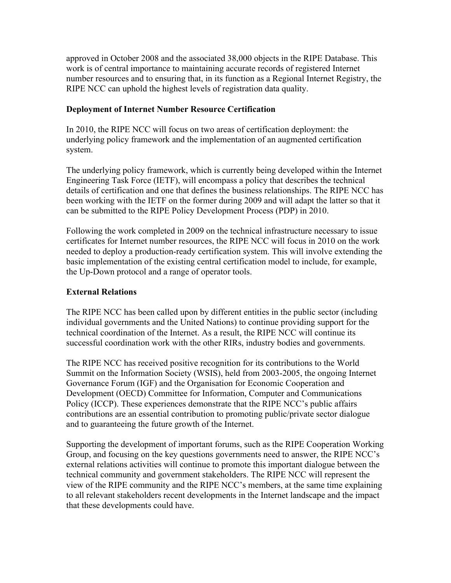approved in October 2008 and the associated 38,000 objects in the RIPE Database. This work is of central importance to maintaining accurate records of registered Internet number resources and to ensuring that, in its function as a Regional Internet Registry, the RIPE NCC can uphold the highest levels of registration data quality.

#### **Deployment of Internet Number Resource Certification**

In 2010, the RIPE NCC will focus on two areas of certification deployment: the underlying policy framework and the implementation of an augmented certification system.

The underlying policy framework, which is currently being developed within the Internet Engineering Task Force (IETF), will encompass a policy that describes the technical details of certification and one that defines the business relationships. The RIPE NCC has been working with the IETF on the former during 2009 and will adapt the latter so that it can be submitted to the RIPE Policy Development Process (PDP) in 2010.

Following the work completed in 2009 on the technical infrastructure necessary to issue certificates for Internet number resources, the RIPE NCC will focus in 2010 on the work needed to deploy a production-ready certification system. This will involve extending the basic implementation of the existing central certification model to include, for example, the Up-Down protocol and a range of operator tools.

#### **External Relations**

The RIPE NCC has been called upon by different entities in the public sector (including individual governments and the United Nations) to continue providing support for the technical coordination of the Internet. As a result, the RIPE NCC will continue its successful coordination work with the other RIRs, industry bodies and governments.

The RIPE NCC has received positive recognition for its contributions to the World Summit on the Information Society (WSIS), held from 2003-2005, the ongoing Internet Governance Forum (IGF) and the Organisation for Economic Cooperation and Development (OECD) Committee for Information, Computer and Communications Policy (ICCP). These experiences demonstrate that the RIPE NCC's public affairs contributions are an essential contribution to promoting public/private sector dialogue and to guaranteeing the future growth of the Internet.

Supporting the development of important forums, such as the RIPE Cooperation Working Group, and focusing on the key questions governments need to answer, the RIPE NCC's external relations activities will continue to promote this important dialogue between the technical community and government stakeholders. The RIPE NCC will represent the view of the RIPE community and the RIPE NCC's members, at the same time explaining to all relevant stakeholders recent developments in the Internet landscape and the impact that these developments could have.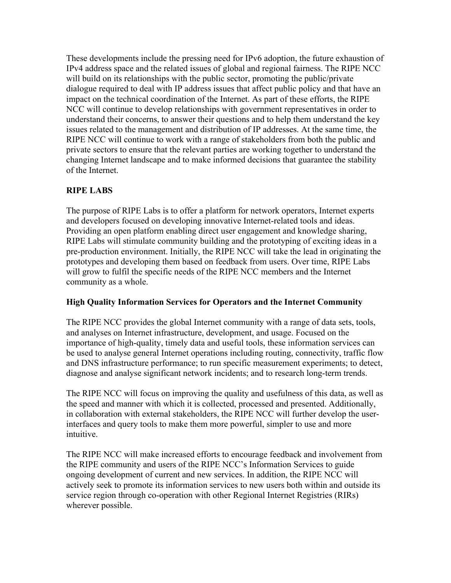These developments include the pressing need for IPv6 adoption, the future exhaustion of IPv4 address space and the related issues of global and regional fairness. The RIPE NCC will build on its relationships with the public sector, promoting the public/private dialogue required to deal with IP address issues that affect public policy and that have an impact on the technical coordination of the Internet. As part of these efforts, the RIPE NCC will continue to develop relationships with government representatives in order to understand their concerns, to answer their questions and to help them understand the key issues related to the management and distribution of IP addresses. At the same time, the RIPE NCC will continue to work with a range of stakeholders from both the public and private sectors to ensure that the relevant parties are working together to understand the changing Internet landscape and to make informed decisions that guarantee the stability of the Internet.

### **RIPE LABS**

The purpose of RIPE Labs is to offer a platform for network operators, Internet experts and developers focused on developing innovative Internet-related tools and ideas. Providing an open platform enabling direct user engagement and knowledge sharing, RIPE Labs will stimulate community building and the prototyping of exciting ideas in a pre-production environment. Initially, the RIPE NCC will take the lead in originating the prototypes and developing them based on feedback from users. Over time, RIPE Labs will grow to fulfil the specific needs of the RIPE NCC members and the Internet community as a whole.

#### **High Quality Information Services for Operators and the Internet Community**

The RIPE NCC provides the global Internet community with a range of data sets, tools, and analyses on Internet infrastructure, development, and usage. Focused on the importance of high-quality, timely data and useful tools, these information services can be used to analyse general Internet operations including routing, connectivity, traffic flow and DNS infrastructure performance; to run specific measurement experiments; to detect, diagnose and analyse significant network incidents; and to research long-term trends.

The RIPE NCC will focus on improving the quality and usefulness of this data, as well as the speed and manner with which it is collected, processed and presented. Additionally, in collaboration with external stakeholders, the RIPE NCC will further develop the userinterfaces and query tools to make them more powerful, simpler to use and more intuitive.

The RIPE NCC will make increased efforts to encourage feedback and involvement from the RIPE community and users of the RIPE NCC's Information Services to guide ongoing development of current and new services. In addition, the RIPE NCC will actively seek to promote its information services to new users both within and outside its service region through co-operation with other Regional Internet Registries (RIRs) wherever possible.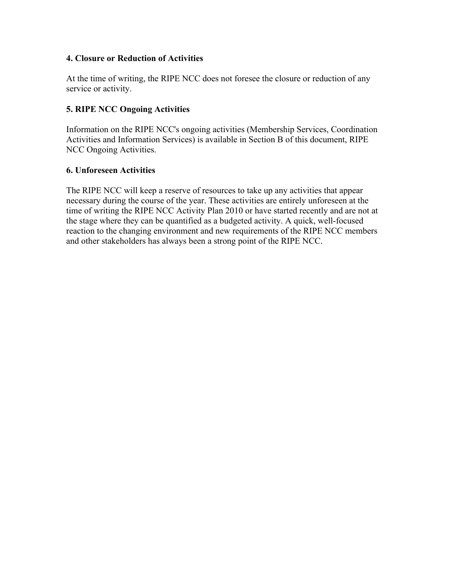#### **4. Closure or Reduction of Activities**

At the time of writing, the RIPE NCC does not foresee the closure or reduction of any service or activity.

#### **5. RIPE NCC Ongoing Activities**

Information on the RIPE NCC's ongoing activities (Membership Services, Coordination Activities and Information Services) is available in Section B of this document, RIPE NCC Ongoing Activities.

#### **6. Unforeseen Activities**

The RIPE NCC will keep a reserve of resources to take up any activities that appear necessary during the course of the year. These activities are entirely unforeseen at the time of writing the RIPE NCC Activity Plan 2010 or have started recently and are not at the stage where they can be quantified as a budgeted activity. A quick, well-focused reaction to the changing environment and new requirements of the RIPE NCC members and other stakeholders has always been a strong point of the RIPE NCC.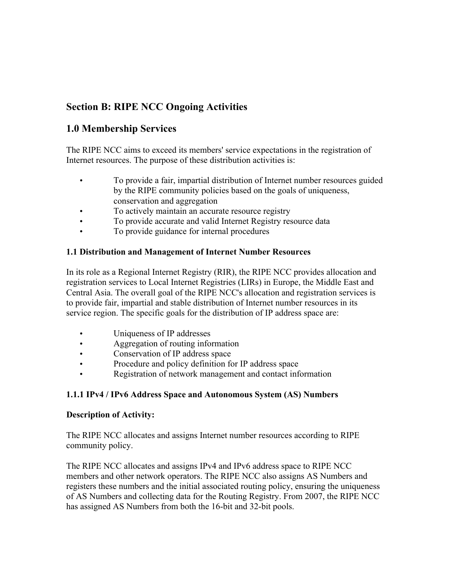# **Section B: RIPE NCC Ongoing Activities**

# **1.0 Membership Services**

The RIPE NCC aims to exceed its members' service expectations in the registration of Internet resources. The purpose of these distribution activities is:

- To provide a fair, impartial distribution of Internet number resources guided by the RIPE community policies based on the goals of uniqueness, conservation and aggregation
- To actively maintain an accurate resource registry
- To provide accurate and valid Internet Registry resource data
- To provide guidance for internal procedures

### **1.1 Distribution and Management of Internet Number Resources**

In its role as a Regional Internet Registry (RIR), the RIPE NCC provides allocation and registration services to Local Internet Registries (LIRs) in Europe, the Middle East and Central Asia. The overall goal of the RIPE NCC's allocation and registration services is to provide fair, impartial and stable distribution of Internet number resources in its service region. The specific goals for the distribution of IP address space are:

- Uniqueness of IP addresses
- Aggregation of routing information
- Conservation of IP address space
- Procedure and policy definition for IP address space
- Registration of network management and contact information

# **1.1.1 IPv4 / IPv6 Address Space and Autonomous System (AS) Numbers**

### **Description of Activity:**

The RIPE NCC allocates and assigns Internet number resources according to RIPE community policy.

The RIPE NCC allocates and assigns IPv4 and IPv6 address space to RIPE NCC members and other network operators. The RIPE NCC also assigns AS Numbers and registers these numbers and the initial associated routing policy, ensuring the uniqueness of AS Numbers and collecting data for the Routing Registry. From 2007, the RIPE NCC has assigned AS Numbers from both the 16-bit and 32-bit pools.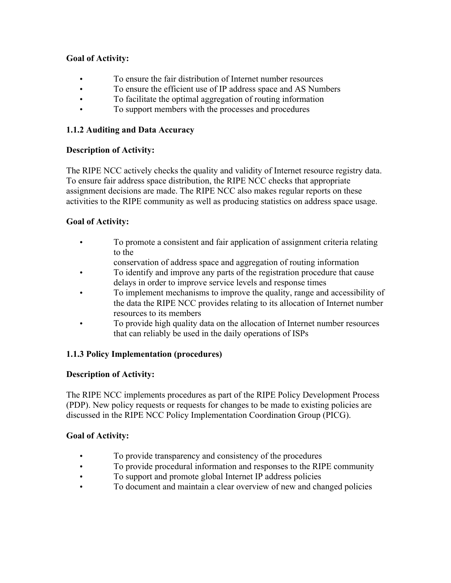### **Goal of Activity:**

- To ensure the fair distribution of Internet number resources
- To ensure the efficient use of IP address space and AS Numbers
- To facilitate the optimal aggregation of routing information
- To support members with the processes and procedures

### **1.1.2 Auditing and Data Accuracy**

### **Description of Activity:**

The RIPE NCC actively checks the quality and validity of Internet resource registry data. To ensure fair address space distribution, the RIPE NCC checks that appropriate assignment decisions are made. The RIPE NCC also makes regular reports on these activities to the RIPE community as well as producing statistics on address space usage.

### **Goal of Activity:**

- To promote a consistent and fair application of assignment criteria relating to the
	- conservation of address space and aggregation of routing information
- To identify and improve any parts of the registration procedure that cause delays in order to improve service levels and response times
- To implement mechanisms to improve the quality, range and accessibility of the data the RIPE NCC provides relating to its allocation of Internet number resources to its members
- To provide high quality data on the allocation of Internet number resources that can reliably be used in the daily operations of ISPs

### **1.1.3 Policy Implementation (procedures)**

#### **Description of Activity:**

The RIPE NCC implements procedures as part of the RIPE Policy Development Process (PDP). New policy requests or requests for changes to be made to existing policies are discussed in the RIPE NCC Policy Implementation Coordination Group (PICG).

- To provide transparency and consistency of the procedures
- To provide procedural information and responses to the RIPE community
- To support and promote global Internet IP address policies
- To document and maintain a clear overview of new and changed policies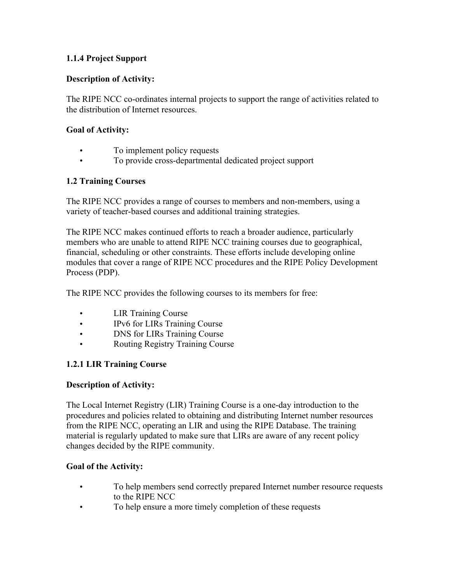### **1.1.4 Project Support**

#### **Description of Activity:**

The RIPE NCC co-ordinates internal projects to support the range of activities related to the distribution of Internet resources.

#### **Goal of Activity:**

- To implement policy requests
- To provide cross-departmental dedicated project support

### **1.2 Training Courses**

The RIPE NCC provides a range of courses to members and non-members, using a variety of teacher-based courses and additional training strategies.

The RIPE NCC makes continued efforts to reach a broader audience, particularly members who are unable to attend RIPE NCC training courses due to geographical, financial, scheduling or other constraints. These efforts include developing online modules that cover a range of RIPE NCC procedures and the RIPE Policy Development Process (PDP).

The RIPE NCC provides the following courses to its members for free:

- LIR Training Course
- IPv6 for LIRs Training Course
- DNS for LIRs Training Course
- Routing Registry Training Course

### **1.2.1 LIR Training Course**

#### **Description of Activity:**

The Local Internet Registry (LIR) Training Course is a one-day introduction to the procedures and policies related to obtaining and distributing Internet number resources from the RIPE NCC, operating an LIR and using the RIPE Database. The training material is regularly updated to make sure that LIRs are aware of any recent policy changes decided by the RIPE community.

#### **Goal of the Activity:**

- To help members send correctly prepared Internet number resource requests to the RIPE NCC
- To help ensure a more timely completion of these requests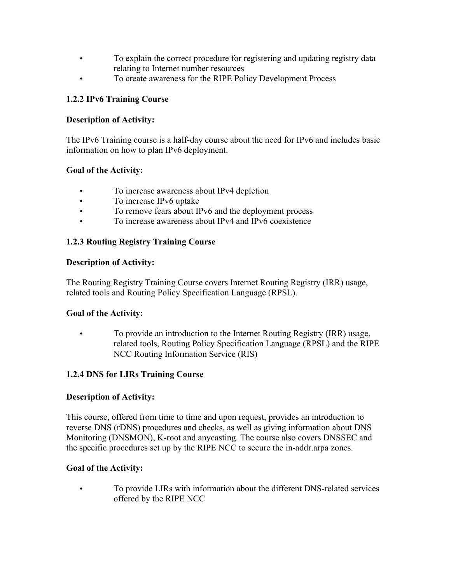- To explain the correct procedure for registering and updating registry data relating to Internet number resources
- To create awareness for the RIPE Policy Development Process

### **1.2.2 IPv6 Training Course**

### **Description of Activity:**

The IPv6 Training course is a half-day course about the need for IPv6 and includes basic information on how to plan IPv6 deployment.

### **Goal of the Activity:**

- To increase awareness about IPv4 depletion
- To increase IPv6 uptake
- To remove fears about IPv6 and the deployment process
- To increase awareness about IPv4 and IPv6 coexistence

### **1.2.3 Routing Registry Training Course**

#### **Description of Activity:**

The Routing Registry Training Course covers Internet Routing Registry (IRR) usage, related tools and Routing Policy Specification Language (RPSL).

### **Goal of the Activity:**

• To provide an introduction to the Internet Routing Registry (IRR) usage, related tools, Routing Policy Specification Language (RPSL) and the RIPE NCC Routing Information Service (RIS)

### **1.2.4 DNS for LIRs Training Course**

#### **Description of Activity:**

This course, offered from time to time and upon request, provides an introduction to reverse DNS (rDNS) procedures and checks, as well as giving information about DNS Monitoring (DNSMON), K-root and anycasting. The course also covers DNSSEC and the specific procedures set up by the RIPE NCC to secure the in-addr.arpa zones.

#### **Goal of the Activity:**

• To provide LIRs with information about the different DNS-related services offered by the RIPE NCC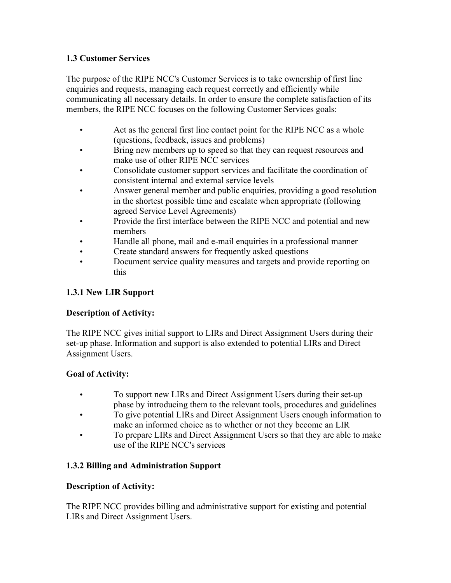### **1.3 Customer Services**

The purpose of the RIPE NCC's Customer Services is to take ownership offirst line enquiries and requests, managing each request correctly and efficiently while communicating all necessary details. In order to ensure the complete satisfaction of its members, the RIPE NCC focuses on the following Customer Services goals:

- Act as the general first line contact point for the RIPE NCC as a whole (questions, feedback, issues and problems)
- Bring new members up to speed so that they can request resources and make use of other RIPE NCC services
- Consolidate customer support services and facilitate the coordination of consistent internal and external service levels
- Answer general member and public enquiries, providing a good resolution in the shortest possible time and escalate when appropriate (following agreed Service Level Agreements)
- Provide the first interface between the RIPE NCC and potential and new members
- Handle all phone, mail and e-mail enquiries in a professional manner
- Create standard answers for frequently asked questions
- Document service quality measures and targets and provide reporting on this

## **1.3.1 New LIR Support**

### **Description of Activity:**

The RIPE NCC gives initial support to LIRs and Direct Assignment Users during their set-up phase. Information and support is also extended to potential LIRs and Direct Assignment Users.

### **Goal of Activity:**

- To support new LIRs and Direct Assignment Users during their set-up phase by introducing them to the relevant tools, procedures and guidelines
- To give potential LIRs and Direct Assignment Users enough information to make an informed choice as to whether or not they become an LIR
- To prepare LIRs and Direct Assignment Users so that they are able to make use of the RIPE NCC's services

### **1.3.2 Billing and Administration Support**

### **Description of Activity:**

The RIPE NCC provides billing and administrative support for existing and potential LIRs and Direct Assignment Users.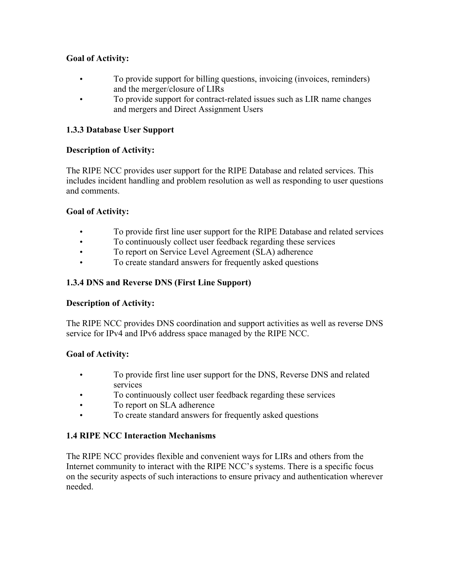### **Goal of Activity:**

- To provide support for billing questions, invoicing (invoices, reminders) and the merger/closure of LIRs
- To provide support for contract-related issues such as LIR name changes and mergers and Direct Assignment Users

### **1.3.3 Database User Support**

### **Description of Activity:**

The RIPE NCC provides user support for the RIPE Database and related services. This includes incident handling and problem resolution as well as responding to user questions and comments.

### **Goal of Activity:**

- To provide first line user support for the RIPE Database and related services
- To continuously collect user feedback regarding these services
- To report on Service Level Agreement (SLA) adherence
- To create standard answers for frequently asked questions

### **1.3.4 DNS and Reverse DNS (First Line Support)**

#### **Description of Activity:**

The RIPE NCC provides DNS coordination and support activities as well as reverse DNS service for IPv4 and IPv6 address space managed by the RIPE NCC.

#### **Goal of Activity:**

- To provide first line user support for the DNS, Reverse DNS and related services
- To continuously collect user feedback regarding these services
- To report on SLA adherence
- To create standard answers for frequently asked questions

### **1.4 RIPE NCC Interaction Mechanisms**

The RIPE NCC provides flexible and convenient ways for LIRs and others from the Internet community to interact with the RIPE NCC's systems. There is a specific focus on the security aspects of such interactions to ensure privacy and authentication wherever needed.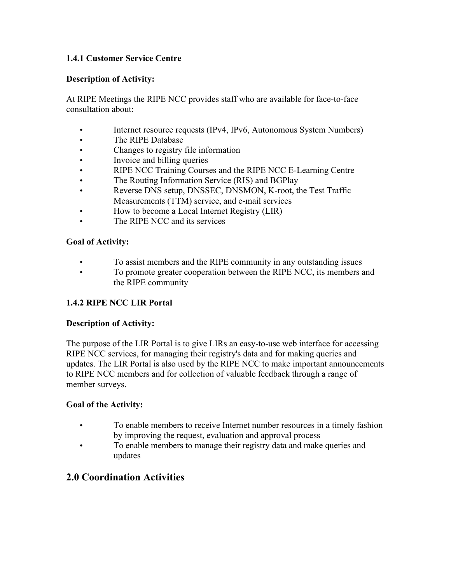### **1.4.1 Customer Service Centre**

#### **Description of Activity:**

At RIPE Meetings the RIPE NCC provides staff who are available for face-to-face consultation about:

- Internet resource requests (IPv4, IPv6, Autonomous System Numbers)
- The RIPE Database
- Changes to registry file information
- Invoice and billing queries
- RIPE NCC Training Courses and the RIPE NCC E-Learning Centre
- The Routing Information Service (RIS) and BGPlay
- Reverse DNS setup, DNSSEC, DNSMON, K-root, the Test Traffic Measurements (TTM) service, and e-mail services
- How to become a Local Internet Registry (LIR)
- The RIPE NCC and its services

#### **Goal of Activity:**

- To assist members and the RIPE community in any outstanding issues
- To promote greater cooperation between the RIPE NCC, its members and the RIPE community

#### **1.4.2 RIPE NCC LIR Portal**

#### **Description of Activity:**

The purpose of the LIR Portal is to give LIRs an easy-to-use web interface for accessing RIPE NCC services, for managing their registry's data and for making queries and updates. The LIR Portal is also used by the RIPE NCC to make important announcements to RIPE NCC members and for collection of valuable feedback through a range of member surveys.

#### **Goal of the Activity:**

- To enable members to receive Internet number resources in a timely fashion by improving the request, evaluation and approval process
- To enable members to manage their registry data and make queries and updates

# **2.0 Coordination Activities**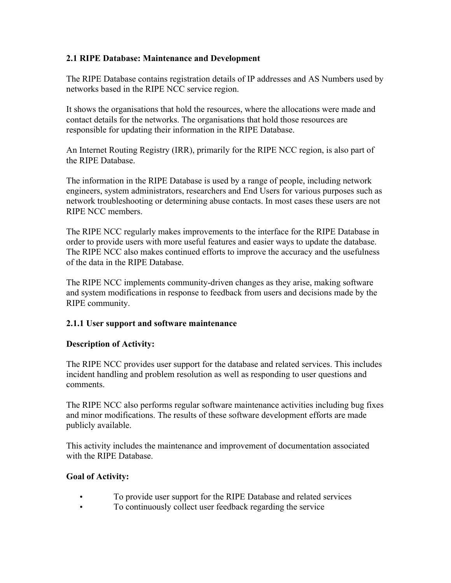#### **2.1 RIPE Database: Maintenance and Development**

The RIPE Database contains registration details of IP addresses and AS Numbers used by networks based in the RIPE NCC service region.

It shows the organisations that hold the resources, where the allocations were made and contact details for the networks. The organisations that hold those resources are responsible for updating their information in the RIPE Database.

An Internet Routing Registry (IRR), primarily for the RIPE NCC region, is also part of the RIPE Database.

The information in the RIPE Database is used by a range of people, including network engineers, system administrators, researchers and End Users for various purposes such as network troubleshooting or determining abuse contacts. In most cases these users are not RIPE NCC members.

The RIPE NCC regularly makes improvements to the interface for the RIPE Database in order to provide users with more useful features and easier ways to update the database. The RIPE NCC also makes continued efforts to improve the accuracy and the usefulness of the data in the RIPE Database.

The RIPE NCC implements community-driven changes as they arise, making software and system modifications in response to feedback from users and decisions made by the RIPE community.

### **2.1.1 User support and software maintenance**

#### **Description of Activity:**

The RIPE NCC provides user support for the database and related services. This includes incident handling and problem resolution as well as responding to user questions and comments.

The RIPE NCC also performs regular software maintenance activities including bug fixes and minor modifications. The results of these software development efforts are made publicly available.

This activity includes the maintenance and improvement of documentation associated with the RIPE Database.

- To provide user support for the RIPE Database and related services
- To continuously collect user feedback regarding the service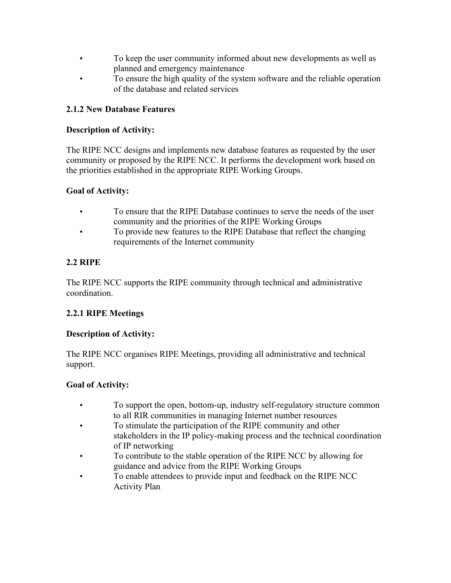- To keep the user community informed about new developments as well as planned and emergency maintenance
- To ensure the high quality of the system software and the reliable operation of the database and related services

### **2.1.2 New Database Features**

#### **Description of Activity:**

The RIPE NCC designs and implements new database features as requested by the user community or proposed by the RIPE NCC. It performs the development work based on the priorities established in the appropriate RIPE Working Groups.

### **Goal of Activity:**

- To ensure that the RIPE Database continues to serve the needs of the user community and the priorities of the RIPE Working Groups
- To provide new features to the RIPE Database that reflect the changing requirements of the Internet community

### **2.2 RIPE**

The RIPE NCC supports the RIPE community through technical and administrative coordination.

### **2.2.1 RIPE Meetings**

#### **Description of Activity:**

The RIPE NCC organises RIPE Meetings, providing all administrative and technical support.

- To support the open, bottom-up, industry self-regulatory structure common to all RIR communities in managing Internet number resources
- To stimulate the participation of the RIPE community and other stakeholders in the IP policy-making process and the technical coordination of IP networking
- To contribute to the stable operation of the RIPE NCC by allowing for guidance and advice from the RIPE Working Groups
- To enable attendees to provide input and feedback on the RIPE NCC Activity Plan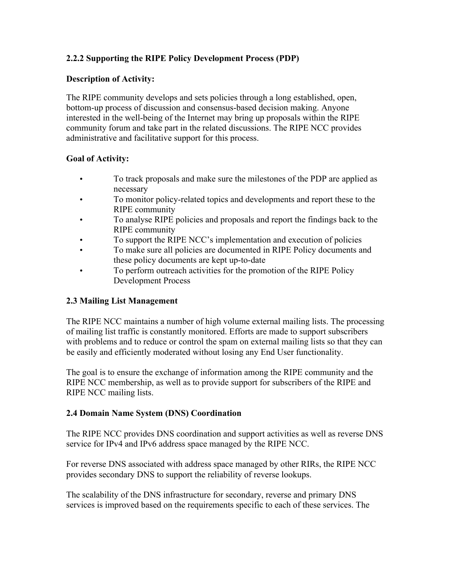### **2.2.2 Supporting the RIPE Policy Development Process (PDP)**

#### **Description of Activity:**

The RIPE community develops and sets policies through a long established, open, bottom-up process of discussion and consensus-based decision making. Anyone interested in the well-being of the Internet may bring up proposals within the RIPE community forum and take part in the related discussions. The RIPE NCC provides administrative and facilitative support for this process.

#### **Goal of Activity:**

- To track proposals and make sure the milestones of the PDP are applied as necessary
- To monitor policy-related topics and developments and report these to the RIPE community
- To analyse RIPE policies and proposals and report the findings back to the RIPE community
- To support the RIPE NCC's implementation and execution of policies
- To make sure all policies are documented in RIPE Policy documents and these policy documents are kept up-to-date
- To perform outreach activities for the promotion of the RIPE Policy Development Process

#### **2.3 Mailing List Management**

The RIPE NCC maintains a number of high volume external mailing lists. The processing of mailing list traffic is constantly monitored. Efforts are made to support subscribers with problems and to reduce or control the spam on external mailing lists so that they can be easily and efficiently moderated without losing any End User functionality.

The goal is to ensure the exchange of information among the RIPE community and the RIPE NCC membership, as well as to provide support for subscribers of the RIPE and RIPE NCC mailing lists.

#### **2.4 Domain Name System (DNS) Coordination**

The RIPE NCC provides DNS coordination and support activities as well as reverse DNS service for IPv4 and IPv6 address space managed by the RIPE NCC.

For reverse DNS associated with address space managed by other RIRs, the RIPE NCC provides secondary DNS to support the reliability of reverse lookups.

The scalability of the DNS infrastructure for secondary, reverse and primary DNS services is improved based on the requirements specific to each of these services. The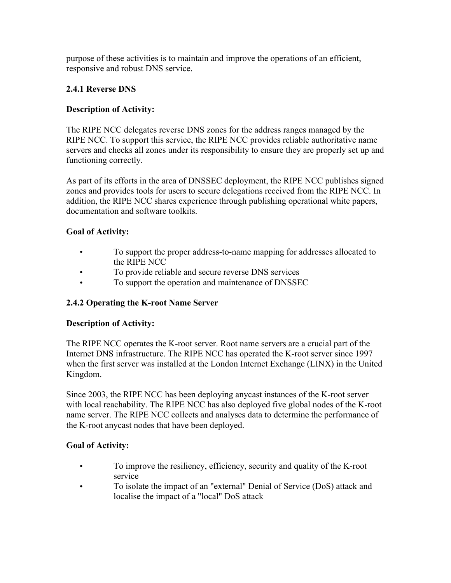purpose of these activities is to maintain and improve the operations of an efficient, responsive and robust DNS service.

### **2.4.1 Reverse DNS**

### **Description of Activity:**

The RIPE NCC delegates reverse DNS zones for the address ranges managed by the RIPE NCC. To support this service, the RIPE NCC provides reliable authoritative name servers and checks all zones under its responsibility to ensure they are properly set up and functioning correctly.

As part of its efforts in the area of DNSSEC deployment, the RIPE NCC publishes signed zones and provides tools for users to secure delegations received from the RIPE NCC. In addition, the RIPE NCC shares experience through publishing operational white papers, documentation and software toolkits.

### **Goal of Activity:**

- To support the proper address-to-name mapping for addresses allocated to the RIPE NCC
- To provide reliable and secure reverse DNS services
- To support the operation and maintenance of DNSSEC

#### **2.4.2 Operating the K-root Name Server**

#### **Description of Activity:**

The RIPE NCC operates the K-root server. Root name servers are a crucial part of the Internet DNS infrastructure. The RIPE NCC has operated the K-root server since 1997 when the first server was installed at the London Internet Exchange (LINX) in the United Kingdom.

Since 2003, the RIPE NCC has been deploying anycast instances of the K-root server with local reachability. The RIPE NCC has also deployed five global nodes of the K-root name server. The RIPE NCC collects and analyses data to determine the performance of the K-root anycast nodes that have been deployed.

- To improve the resiliency, efficiency, security and quality of the K-root service
- To isolate the impact of an "external" Denial of Service (DoS) attack and localise the impact of a "local" DoS attack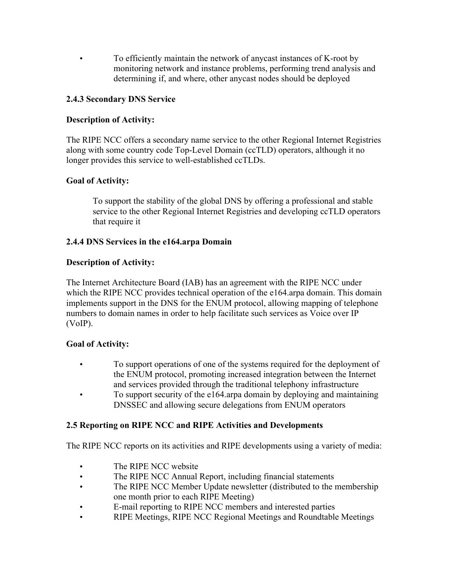• To efficiently maintain the network of anycast instances of K-root by monitoring network and instance problems, performing trend analysis and determining if, and where, other anycast nodes should be deployed

### **2.4.3 Secondary DNS Service**

### **Description of Activity:**

The RIPE NCC offers a secondary name service to the other Regional Internet Registries along with some country code Top-Level Domain (ccTLD) operators, although it no longer provides this service to well-established ccTLDs.

### **Goal of Activity:**

To support the stability of the global DNS by offering a professional and stable service to the other Regional Internet Registries and developing ccTLD operators that require it

#### **2.4.4 DNS Services in the e164.arpa Domain**

#### **Description of Activity:**

The Internet Architecture Board (IAB) has an agreement with the RIPE NCC under which the RIPE NCC provides technical operation of the e164 arpa domain. This domain implements support in the DNS for the ENUM protocol, allowing mapping of telephone numbers to domain names in order to help facilitate such services as Voice over IP (VoIP).

#### **Goal of Activity:**

- To support operations of one of the systems required for the deployment of the ENUM protocol, promoting increased integration between the Internet and services provided through the traditional telephony infrastructure
- To support security of the e164.arpa domain by deploying and maintaining DNSSEC and allowing secure delegations from ENUM operators

#### **2.5 Reporting on RIPE NCC and RIPE Activities and Developments**

The RIPE NCC reports on its activities and RIPE developments using a variety of media:

- The RIPE NCC website
- The RIPE NCC Annual Report, including financial statements
- The RIPE NCC Member Update newsletter (distributed to the membership one month prior to each RIPE Meeting)
- E-mail reporting to RIPE NCC members and interested parties
- RIPE Meetings, RIPE NCC Regional Meetings and Roundtable Meetings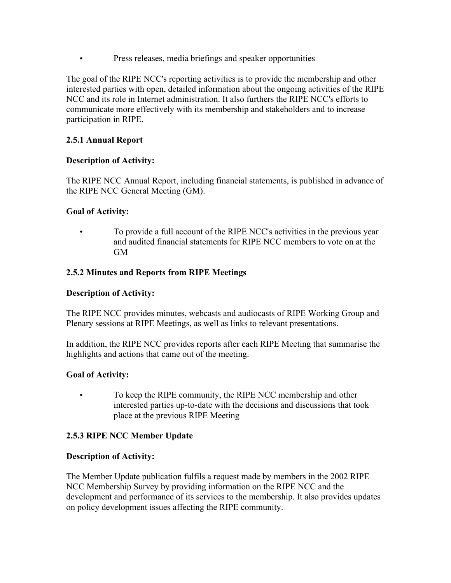• Press releases, media briefings and speaker opportunities

The goal of the RIPE NCC's reporting activities is to provide the membership and other interested parties with open, detailed information about the ongoing activities of the RIPE NCC and its role in Internet administration. It also furthers the RIPE NCC's efforts to communicate more effectively with its membership and stakeholders and to increase participation in RIPE.

### **2.5.1 Annual Report**

#### **Description of Activity:**

The RIPE NCC Annual Report, including financial statements, is published in advance of the RIPE NCC General Meeting (GM).

#### **Goal of Activity:**

• To provide a full account of the RIPE NCC's activities in the previous year and audited financial statements for RIPE NCC members to vote on at the GM

#### **2.5.2 Minutes and Reports from RIPE Meetings**

#### **Description of Activity:**

The RIPE NCC provides minutes, webcasts and audiocasts of RIPE Working Group and Plenary sessions at RIPE Meetings, as well as links to relevant presentations.

In addition, the RIPE NCC provides reports after each RIPE Meeting that summarise the highlights and actions that came out of the meeting.

#### **Goal of Activity:**

• To keep the RIPE community, the RIPE NCC membership and other interested parties up-to-date with the decisions and discussions that took place at the previous RIPE Meeting

#### **2.5.3 RIPE NCC Member Update**

#### **Description of Activity:**

The Member Update publication fulfils a request made by members in the 2002 RIPE NCC Membership Survey by providing information on the RIPE NCC and the development and performance of its services to the membership. It also provides updates on policy development issues affecting the RIPE community.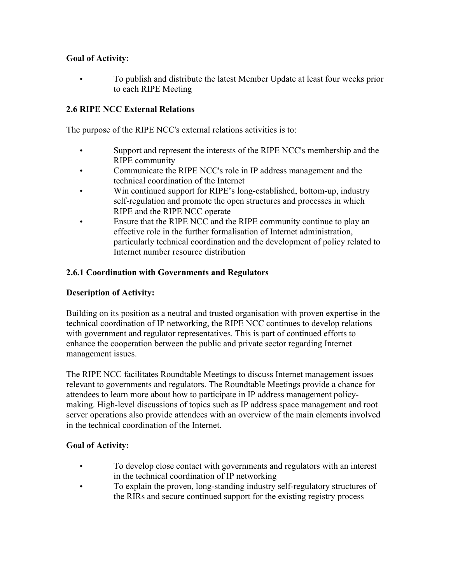### **Goal of Activity:**

• To publish and distribute the latest Member Update at least four weeks prior to each RIPE Meeting

### **2.6 RIPE NCC External Relations**

The purpose of the RIPE NCC's external relations activities is to:

- Support and represent the interests of the RIPE NCC's membership and the RIPE community
- Communicate the RIPE NCC's role in IP address management and the technical coordination of the Internet
- Win continued support for RIPE's long-established, bottom-up, industry self-regulation and promote the open structures and processes in which RIPE and the RIPE NCC operate
- Ensure that the RIPE NCC and the RIPE community continue to play an effective role in the further formalisation of Internet administration, particularly technical coordination and the development of policy related to Internet number resource distribution

#### **2.6.1 Coordination with Governments and Regulators**

#### **Description of Activity:**

Building on its position as a neutral and trusted organisation with proven expertise in the technical coordination of IP networking, the RIPE NCC continues to develop relations with government and regulator representatives. This is part of continued efforts to enhance the cooperation between the public and private sector regarding Internet management issues.

The RIPE NCC facilitates Roundtable Meetings to discuss Internet management issues relevant to governments and regulators. The Roundtable Meetings provide a chance for attendees to learn more about how to participate in IP address management policymaking. High-level discussions of topics such as IP address space management and root server operations also provide attendees with an overview of the main elements involved in the technical coordination of the Internet.

- To develop close contact with governments and regulators with an interest in the technical coordination of IP networking
- To explain the proven, long-standing industry self-regulatory structures of the RIRs and secure continued support for the existing registry process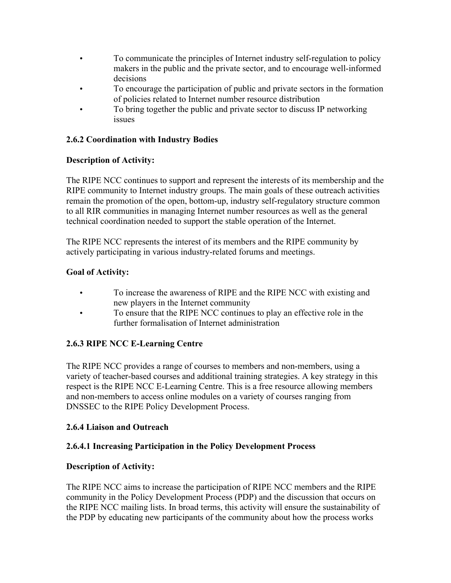- To communicate the principles of Internet industry self-regulation to policy makers in the public and the private sector, and to encourage well-informed decisions
- To encourage the participation of public and private sectors in the formation of policies related to Internet number resource distribution
- To bring together the public and private sector to discuss IP networking issues

### **2.6.2 Coordination with Industry Bodies**

### **Description of Activity:**

The RIPE NCC continues to support and represent the interests of its membership and the RIPE community to Internet industry groups. The main goals of these outreach activities remain the promotion of the open, bottom-up, industry self-regulatory structure common to all RIR communities in managing Internet number resources as well as the general technical coordination needed to support the stable operation of the Internet.

The RIPE NCC represents the interest of its members and the RIPE community by actively participating in various industry-related forums and meetings.

### **Goal of Activity:**

- To increase the awareness of RIPE and the RIPE NCC with existing and new players in the Internet community
- To ensure that the RIPE NCC continues to play an effective role in the further formalisation of Internet administration

### **2.6.3 RIPE NCC E-Learning Centre**

The RIPE NCC provides a range of courses to members and non-members, using a variety of teacher-based courses and additional training strategies. A key strategy in this respect is the RIPE NCC E-Learning Centre. This is a free resource allowing members and non-members to access online modules on a variety of courses ranging from DNSSEC to the RIPE Policy Development Process.

#### **2.6.4 Liaison and Outreach**

#### **2.6.4.1 Increasing Participation in the Policy Development Process**

#### **Description of Activity:**

The RIPE NCC aims to increase the participation of RIPE NCC members and the RIPE community in the Policy Development Process (PDP) and the discussion that occurs on the RIPE NCC mailing lists. In broad terms, this activity will ensure the sustainability of the PDP by educating new participants of the community about how the process works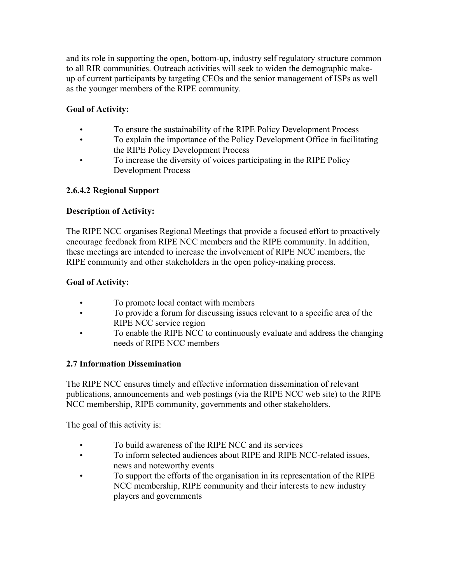and its role in supporting the open, bottom-up, industry self regulatory structure common to all RIR communities. Outreach activities will seek to widen the demographic makeup of current participants by targeting CEOs and the senior management of ISPs as well as the younger members of the RIPE community.

### **Goal of Activity:**

- To ensure the sustainability of the RIPE Policy Development Process
- To explain the importance of the Policy Development Office in facilitating the RIPE Policy Development Process
- To increase the diversity of voices participating in the RIPE Policy Development Process

### **2.6.4.2 Regional Support**

### **Description of Activity:**

The RIPE NCC organises Regional Meetings that provide a focused effort to proactively encourage feedback from RIPE NCC members and the RIPE community. In addition, these meetings are intended to increase the involvement of RIPE NCC members, the RIPE community and other stakeholders in the open policy-making process.

### **Goal of Activity:**

- To promote local contact with members
- To provide a forum for discussing issues relevant to a specific area of the RIPE NCC service region
- To enable the RIPE NCC to continuously evaluate and address the changing needs of RIPE NCC members

### **2.7 Information Dissemination**

The RIPE NCC ensures timely and effective information dissemination of relevant publications, announcements and web postings (via the RIPE NCC web site) to the RIPE NCC membership, RIPE community, governments and other stakeholders.

The goal of this activity is:

- To build awareness of the RIPE NCC and its services
- To inform selected audiences about RIPE and RIPE NCC-related issues, news and noteworthy events
- To support the efforts of the organisation in its representation of the RIPE NCC membership, RIPE community and their interests to new industry players and governments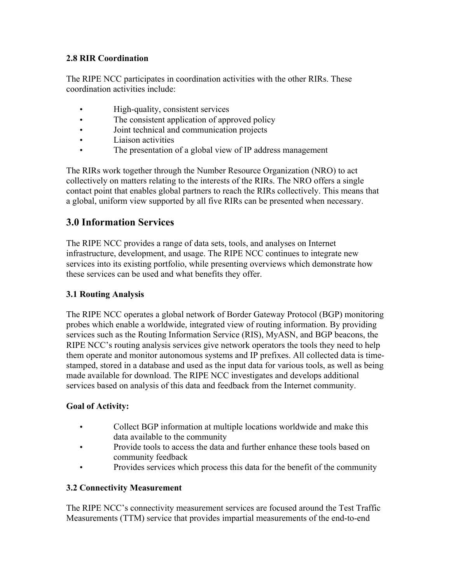### **2.8 RIR Coordination**

The RIPE NCC participates in coordination activities with the other RIRs. These coordination activities include:

- High-quality, consistent services
- The consistent application of approved policy
- Joint technical and communication projects
- Liaison activities
- The presentation of a global view of IP address management

The RIRs work together through the Number Resource Organization (NRO) to act collectively on matters relating to the interests of the RIRs. The NRO offers a single contact point that enables global partners to reach the RIRs collectively. This means that a global, uniform view supported by all five RIRs can be presented when necessary.

# **3.0 Information Services**

The RIPE NCC provides a range of data sets, tools, and analyses on Internet infrastructure, development, and usage. The RIPE NCC continues to integrate new services into its existing portfolio, while presenting overviews which demonstrate how these services can be used and what benefits they offer.

### **3.1 Routing Analysis**

The RIPE NCC operates a global network of Border Gateway Protocol (BGP) monitoring probes which enable a worldwide, integrated view of routing information. By providing services such as the Routing Information Service (RIS), MyASN, and BGP beacons, the RIPE NCC's routing analysis services give network operators the tools they need to help them operate and monitor autonomous systems and IP prefixes. All collected data is timestamped, stored in a database and used as the input data for various tools, as well as being made available for download. The RIPE NCC investigates and develops additional services based on analysis of this data and feedback from the Internet community.

### **Goal of Activity:**

- Collect BGP information at multiple locations worldwide and make this data available to the community
- Provide tools to access the data and further enhance these tools based on community feedback
- Provides services which process this data for the benefit of the community

### **3.2 Connectivity Measurement**

The RIPE NCC's connectivity measurement services are focused around the Test Traffic Measurements (TTM) service that provides impartial measurements of the end-to-end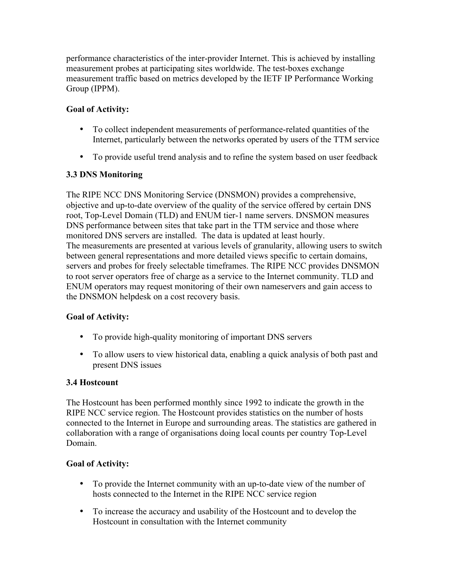performance characteristics of the inter-provider Internet. This is achieved by installing measurement probes at participating sites worldwide. The test-boxes exchange measurement traffic based on metrics developed by the IETF IP Performance Working Group (IPPM).

### **Goal of Activity:**

- To collect independent measurements of performance-related quantities of the Internet, particularly between the networks operated by users of the TTM service
- To provide useful trend analysis and to refine the system based on user feedback

### **3.3 DNS Monitoring**

The RIPE NCC DNS Monitoring Service (DNSMON) provides a comprehensive, objective and up-to-date overview of the quality of the service offered by certain DNS root, Top-Level Domain (TLD) and ENUM tier-1 name servers. DNSMON measures DNS performance between sites that take part in the TTM service and those where monitored DNS servers are installed. The data is updated at least hourly. The measurements are presented at various levels of granularity, allowing users to switch between general representations and more detailed views specific to certain domains, servers and probes for freely selectable timeframes. The RIPE NCC provides DNSMON to root server operators free of charge as a service to the Internet community. TLD and ENUM operators may request monitoring of their own nameservers and gain access to the DNSMON helpdesk on a cost recovery basis.

### **Goal of Activity:**

- To provide high-quality monitoring of important DNS servers
- To allow users to view historical data, enabling a quick analysis of both past and present DNS issues

#### **3.4 Hostcount**

The Hostcount has been performed monthly since 1992 to indicate the growth in the RIPE NCC service region. The Hostcount provides statistics on the number of hosts connected to the Internet in Europe and surrounding areas. The statistics are gathered in collaboration with a range of organisations doing local counts per country Top-Level Domain.

- To provide the Internet community with an up-to-date view of the number of hosts connected to the Internet in the RIPE NCC service region
- To increase the accuracy and usability of the Hostcount and to develop the Hostcount in consultation with the Internet community